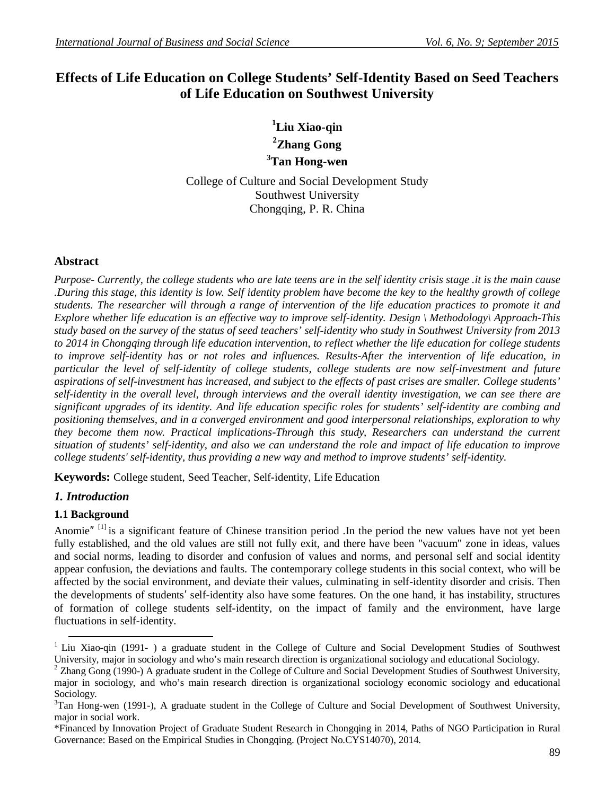# **Effects of Life Education on College Students' Self-Identity Based on Seed Teachers of Life Education on Southwest University**

# **<sup>1</sup>Liu Xiao-qin <sup>2</sup>Zhang Gong <sup>3</sup>Tan Hong-wen**

College of Culture and Social Development Study Southwest University Chongqing, P. R. China

## **Abstract**

*Purpose- Currently, the college students who are late teens are in the self identity crisis stage .it is the main cause .During this stage, this identity is low. Self identity problem have become the key to the healthy growth of college students. The researcher will through a range of intervention of the life education practices to promote it and Explore whether life education is an effective way to improve self-identity. Design \ Methodology\ Approach-This study based on the survey of the status of seed teachers' self-identity who study in Southwest University from 2013 to 2014 in Chongqing through life education intervention, to reflect whether the life education for college students to improve self-identity has or not roles and influences. Results-After the intervention of life education, in particular the level of self-identity of college students, college students are now self-investment and future aspirations of self-investment has increased, and subject to the effects of past crises are smaller. College students' self-identity in the overall level, through interviews and the overall identity investigation, we can see there are significant upgrades of its identity. And life education specific roles for students' self-identity are combing and positioning themselves, and in a converged environment and good interpersonal relationships, exploration to why they become them now. Practical implications-Through this study, Researchers can understand the current situation of students' self-identity, and also we can understand the role and impact of life education to improve college students' self-identity, thus providing a new way and method to improve students' self-identity.*

**Keywords:** College student, Seed Teacher, Self-identity, Life Education

# *1. Introduction*

## **1.1 Background**

Anomie"<sup>[1]</sup> is a significant feature of Chinese transition period .In the period the new values have not yet been fully established, and the old values are still not fully exit, and there have been "vacuum" zone in ideas, values and social norms, leading to disorder and confusion of values and norms, and personal self and social identity appear confusion, the deviations and faults. The contemporary college students in this social context, who will be affected by the social environment, and deviate their values, culminating in self-identity disorder and crisis. Then the developments of students' self-identity also have some features. On the one hand, it has instability, structures of formation of college students self-identity, on the impact of family and the environment, have large fluctuations in self-identity.

<sup>1</sup> <sup>1</sup> Liu Xiao-qin (1991- ) a graduate student in the College of Culture and Social Development Studies of Southwest University, major in sociology and who's main research direction is organizational sociology and educational Sociology.

<sup>&</sup>lt;sup>2</sup> Zhang Gong (1990-) A graduate student in the College of Culture and Social Development Studies of Southwest University, major in sociology, and who's main research direction is organizational sociology economic sociology and educational Sociology.

 $3$ Tan Hong-wen (1991-), A graduate student in the College of Culture and Social Development of Southwest University, major in social work.

<sup>\*</sup>Financed by Innovation Project of Graduate Student Research in Chongqing in 2014, Paths of NGO Participation in Rural Governance: Based on the Empirical Studies in Chongqing. (Project No.CYS14070), 2014.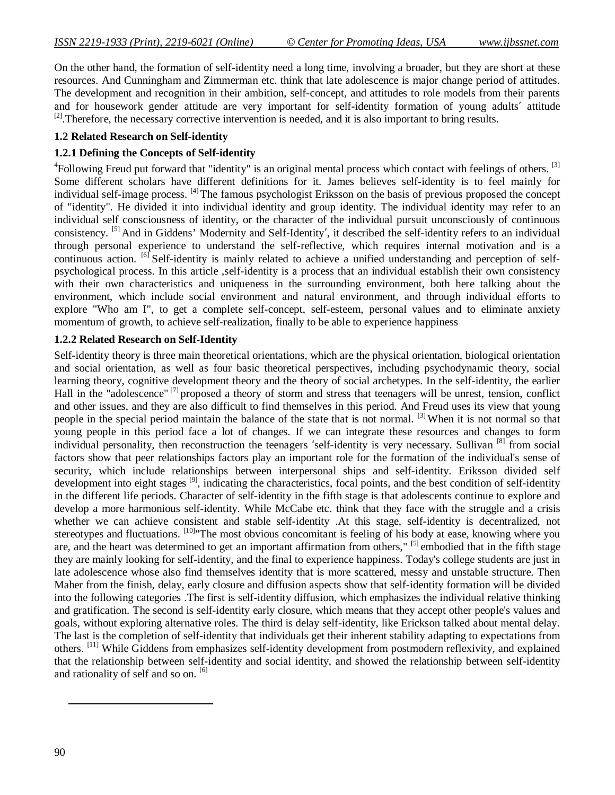On the other hand, the formation of self-identity need a long time, involving a broader, but they are short at these resources. And Cunningham and Zimmerman etc. think that late adolescence is major change period of attitudes. The development and recognition in their ambition, self-concept, and attitudes to role models from their parents and for housework gender attitude are very important for self-identity formation of young adults' attitude  $[2]$ . Therefore, the necessary corrective intervention is needed, and it is also important to bring results.

#### **1.2 Related Research on Self-identity**

### **1.2.1 Defining the Concepts of Self-identity**

<sup>4</sup>Following Freud put forward that "identity" is an original mental process which contact with feelings of others. <sup>[3]</sup> Some different scholars have different definitions for it. James believes self-identity is to feel mainly for individual self-image process. [4] The famous psychologist Eriksson on the basis of previous proposed the concept of "identity". He divided it into individual identity and group identity. The individual identity may refer to an individual self consciousness of identity, or the character of the individual pursuit unconsciously of continuous consistency. [5] And in Giddens' Modernity and Self-Identity', it described the self-identity refers to an individual through personal experience to understand the self-reflective, which requires internal motivation and is a continuous action. <sup>[6]</sup> Self-identity is mainly related to achieve a unified understanding and perception of selfpsychological process. In this article ,self-identity is a process that an individual establish their own consistency with their own characteristics and uniqueness in the surrounding environment, both here talking about the environment, which include social environment and natural environment, and through individual efforts to explore "Who am I", to get a complete self-concept, self-esteem, personal values and to eliminate anxiety momentum of growth, to achieve self-realization, finally to be able to experience happiness

#### **1.2.2 Related Research on Self-Identity**

Self-identity theory is three main theoretical orientations, which are the physical orientation, biological orientation and social orientation, as well as four basic theoretical perspectives, including psychodynamic theory, social learning theory, cognitive development theory and the theory of social archetypes. In the self-identity, the earlier Hall in the "adolescence" [7] proposed a theory of storm and stress that teenagers will be unrest, tension, conflict and other issues, and they are also difficult to find themselves in this period. And Freud uses its view that young people in the special period maintain the balance of the state that is not normal. [3] When it is not normal so that young people in this period face a lot of changes. If we can integrate these resources and changes to form individual personality, then reconstruction the teenagers 'self-identity is very necessary. Sullivan [8] from social factors show that peer relationships factors play an important role for the formation of the individual's sense of security, which include relationships between interpersonal ships and self-identity. Eriksson divided self development into eight stages <sup>[9]</sup>, indicating the characteristics, focal points, and the best condition of self-identity in the different life periods. Character of self-identity in the fifth stage is that adolescents continue to explore and develop a more harmonious self-identity. While McCabe etc. think that they face with the struggle and a crisis whether we can achieve consistent and stable self-identity. At this stage, self-identity is decentralized, not stereotypes and fluctuations. <sup>[10]</sup> The most obvious concomitant is feeling of his body at ease, knowing where you are, and the heart was determined to get an important affirmation from others," [5] embodied that in the fifth stage they are mainly looking for self-identity, and the final to experience happiness. Today's college students are just in late adolescence whose also find themselves identity that is more scattered, messy and unstable structure. Then Maher from the finish, delay, early closure and diffusion aspects show that self-identity formation will be divided into the following categories .The first is self-identity diffusion, which emphasizes the individual relative thinking and gratification. The second is self-identity early closure, which means that they accept other people's values and goals, without exploring alternative roles. The third is delay self-identity, like Erickson talked about mental delay. The last is the completion of self-identity that individuals get their inherent stability adapting to expectations from others. [11] While Giddens from emphasizes self-identity development from postmodern reflexivity, and explained that the relationship between self-identity and social identity, and showed the relationship between self-identity and rationality of self and so on. [6]

**.**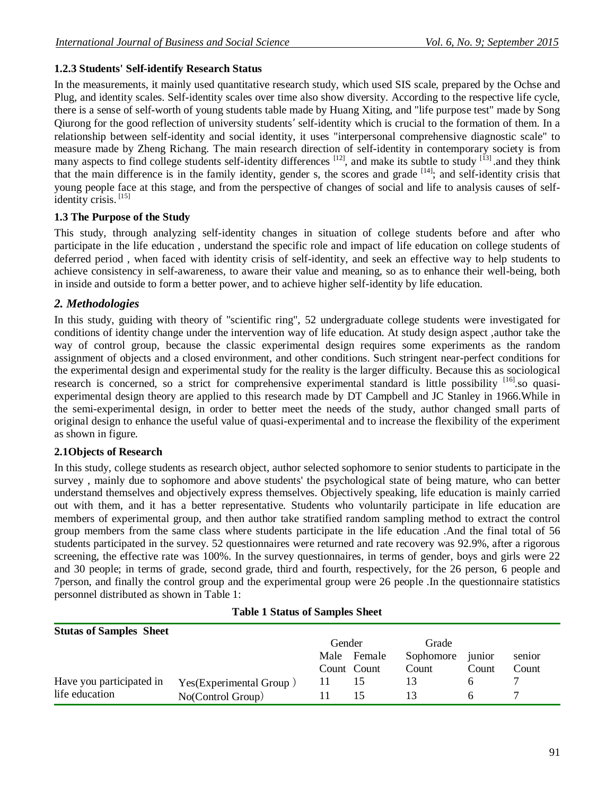## **1.2.3 Students' Self-identify Research Status**

In the measurements, it mainly used quantitative research study, which used SIS scale, prepared by the Ochse and Plug, and identity scales. Self-identity scales over time also show diversity. According to the respective life cycle, there is a sense of self-worth of young students table made by Huang Xiting, and "life purpose test" made by Song Qiurong for the good reflection of university students' self-identity which is crucial to the formation of them. In a relationship between self-identity and social identity, it uses "interpersonal comprehensive diagnostic scale" to measure made by Zheng Richang. The main research direction of self-identity in contemporary society is from many aspects to find college students self-identity differences  $[12]$ , and make its subtle to study  $[13]$  and they think that the main difference is in the family identity, gender s, the scores and grade  $[14]$ ; and self-identity crisis that young people face at this stage, and from the perspective of changes of social and life to analysis causes of selfidentity crisis.<sup>[15]</sup>

## **1.3 The Purpose of the Study**

This study, through analyzing self-identity changes in situation of college students before and after who participate in the life education , understand the specific role and impact of life education on college students of deferred period , when faced with identity crisis of self-identity, and seek an effective way to help students to achieve consistency in self-awareness, to aware their value and meaning, so as to enhance their well-being, both in inside and outside to form a better power, and to achieve higher self-identity by life education.

# *2. Methodologies*

In this study, guiding with theory of "scientific ring", 52 undergraduate college students were investigated for conditions of identity change under the intervention way of life education. At study design aspect ,author take the way of control group, because the classic experimental design requires some experiments as the random assignment of objects and a closed environment, and other conditions. Such stringent near-perfect conditions for the experimental design and experimental study for the reality is the larger difficulty. Because this as sociological research is concerned, so a strict for comprehensive experimental standard is little possibility <sup>[16]</sup>.so quasiexperimental design theory are applied to this research made by DT Campbell and JC Stanley in 1966.While in the semi-experimental design, in order to better meet the needs of the study, author changed small parts of original design to enhance the useful value of quasi-experimental and to increase the flexibility of the experiment as shown in figure.

# **2.1Objects of Research**

In this study, college students as research object, author selected sophomore to senior students to participate in the survey , mainly due to sophomore and above students' the psychological state of being mature, who can better understand themselves and objectively express themselves. Objectively speaking, life education is mainly carried out with them, and it has a better representative. Students who voluntarily participate in life education are members of experimental group, and then author take stratified random sampling method to extract the control group members from the same class where students participate in the life education .And the final total of 56 students participated in the survey. 52 questionnaires were returned and rate recovery was 92.9%, after a rigorous screening, the effective rate was 100%. In the survey questionnaires, in terms of gender, boys and girls were 22 and 30 people; in terms of grade, second grade, third and fourth, respectively, for the 26 person, 6 people and 7person, and finally the control group and the experimental group were 26 people .In the questionnaire statistics personnel distributed as shown in Table 1:

## **Table 1 Status of Samples Sheet**

| <b>Stutas of Samples Sheet</b> |                          |        |             |           |        |        |
|--------------------------------|--------------------------|--------|-------------|-----------|--------|--------|
|                                |                          | Gender |             | Grade     |        |        |
|                                |                          | Male   | Female      | Sophomore | junior | senior |
|                                |                          |        | Count Count | Count     | Count  | Count  |
| Have you participated in       | Yes (Experimental Group) |        |             |           |        |        |
| life education                 | No(Control Group)        |        | ר ו         |           |        |        |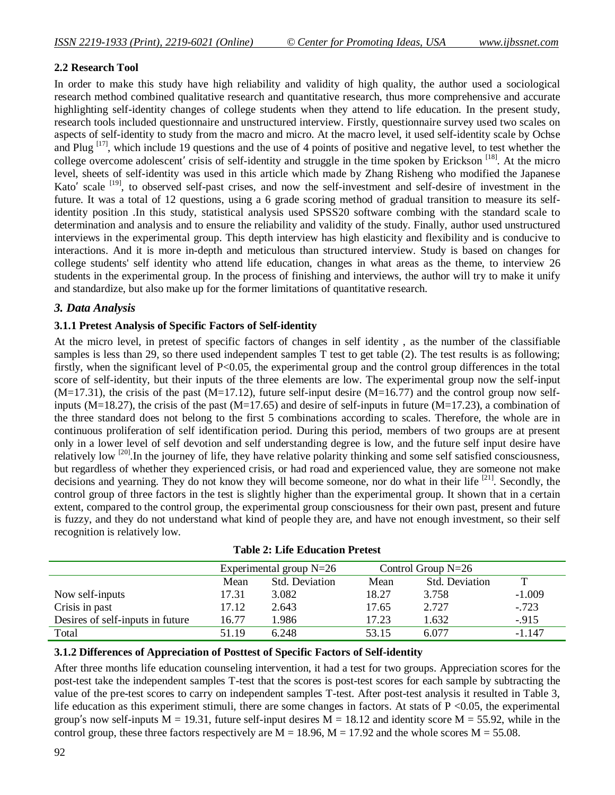#### **2.2 Research Tool**

In order to make this study have high reliability and validity of high quality, the author used a sociological research method combined qualitative research and quantitative research, thus more comprehensive and accurate highlighting self-identity changes of college students when they attend to life education. In the present study, research tools included questionnaire and unstructured interview. Firstly, questionnaire survey used two scales on aspects of self-identity to study from the macro and micro. At the macro level, it used self-identity scale by Ochse and Plug  $[17]$ , which include 19 questions and the use of 4 points of positive and negative level, to test whether the college overcome adolescent' crisis of self-identity and struggle in the time spoken by Erickson [18]. At the micro level, sheets of self-identity was used in this article which made by Zhang Risheng who modified the Japanese Kato' scale <sup>[19]</sup>, to observed self-past crises, and now the self-investment and self-desire of investment in the future. It was a total of 12 questions, using a 6 grade scoring method of gradual transition to measure its selfidentity position .In this study, statistical analysis used SPSS20 software combing with the standard scale to determination and analysis and to ensure the reliability and validity of the study. Finally, author used unstructured interviews in the experimental group. This depth interview has high elasticity and flexibility and is conducive to interactions. And it is more in-depth and meticulous than structured interview. Study is based on changes for college students' self identity who attend life education, changes in what areas as the theme, to interview 26 students in the experimental group. In the process of finishing and interviews, the author will try to make it unify and standardize, but also make up for the former limitations of quantitative research.

#### *3. Data Analysis*

#### **3.1.1 Pretest Analysis of Specific Factors of Self-identity**

At the micro level, in pretest of specific factors of changes in self identity , as the number of the classifiable samples is less than 29, so there used independent samples T test to get table (2). The test results is as following; firstly, when the significant level of P<0.05, the experimental group and the control group differences in the total score of self-identity, but their inputs of the three elements are low. The experimental group now the self-input  $(M=17.31)$ , the crisis of the past  $(M=17.12)$ , future self-input desire  $(M=16.77)$  and the control group now selfinputs (M=18.27), the crisis of the past (M=17.65) and desire of self-inputs in future (M=17.23), a combination of the three standard does not belong to the first 5 combinations according to scales. Therefore, the whole are in continuous proliferation of self identification period. During this period, members of two groups are at present only in a lower level of self devotion and self understanding degree is low, and the future self input desire have relatively low <sup>[20]</sup>. In the journey of life, they have relative polarity thinking and some self satisfied consciousness, but regardless of whether they experienced crisis, or had road and experienced value, they are someone not make decisions and yearning. They do not know they will become someone, nor do what in their life <sup>[21]</sup>. Secondly, the control group of three factors in the test is slightly higher than the experimental group. It shown that in a certain extent, compared to the control group, the experimental group consciousness for their own past, present and future is fuzzy, and they do not understand what kind of people they are, and have not enough investment, so their self recognition is relatively low.

|                                  | Experimental group $N=26$ |                       | Control Group $N=26$ |                       |             |
|----------------------------------|---------------------------|-----------------------|----------------------|-----------------------|-------------|
|                                  | Mean                      | <b>Std. Deviation</b> | Mean                 | <b>Std. Deviation</b> | $\mathbf T$ |
| Now self-inputs                  | 17.31                     | 3.082                 | 18.27                | 3.758                 | $-1.009$    |
| Crisis in past                   | 17.12                     | 2.643                 | 17.65                | 2.727                 | $-.723$     |
| Desires of self-inputs in future | 16.77                     | 1.986                 | 17.23                | 1.632                 | $-915$      |
| Total                            | 51.19                     | 6.248                 | 53.15                | 6.077                 | $-1.147$    |

|  |  | <b>Table 2: Life Education Pretest</b> |  |
|--|--|----------------------------------------|--|
|--|--|----------------------------------------|--|

## **3.1.2 Differences of Appreciation of Posttest of Specific Factors of Self-identity**

After three months life education counseling intervention, it had a test for two groups. Appreciation scores for the post-test take the independent samples T-test that the scores is post-test scores for each sample by subtracting the value of the pre-test scores to carry on independent samples T-test. After post-test analysis it resulted in Table 3, life education as this experiment stimuli, there are some changes in factors. At stats of  $P \le 0.05$ , the experimental group's now self-inputs  $M = 19.31$ , future self-input desires  $M = 18.12$  and identity score  $M = 55.92$ , while in the control group, these three factors respectively are  $M = 18.96$ ,  $M = 17.92$  and the whole scores  $M = 55.08$ .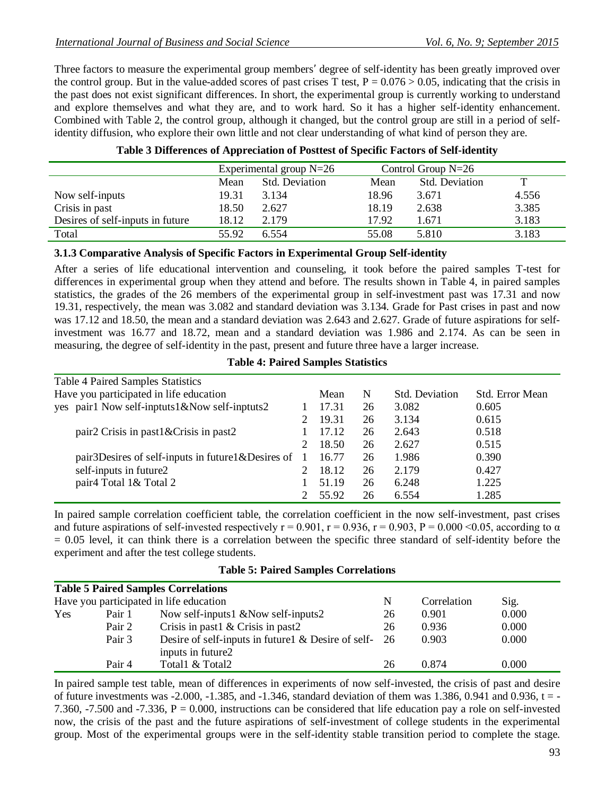Three factors to measure the experimental group members' degree of self-identity has been greatly improved over the control group. But in the value-added scores of past crises T test,  $P = 0.076 > 0.05$ , indicating that the crisis in the past does not exist significant differences. In short, the experimental group is currently working to understand and explore themselves and what they are, and to work hard. So it has a higher self-identity enhancement. Combined with Table 2, the control group, although it changed, but the control group are still in a period of selfidentity diffusion, who explore their own little and not clear understanding of what kind of person they are.

|                                  | Experimental group $N=26$ |                       | Control Group $N=26$ |                       |       |
|----------------------------------|---------------------------|-----------------------|----------------------|-----------------------|-------|
|                                  | Mean                      | <b>Std. Deviation</b> | Mean                 | <b>Std. Deviation</b> | ௱     |
| Now self-inputs                  | 19.31                     | 3.134                 | 18.96                | 3.671                 | 4.556 |
| Crisis in past                   | 18.50                     | 2.627                 | 18.19                | 2.638                 | 3.385 |
| Desires of self-inputs in future | 18.12                     | 2.179                 | 17.92                | 1.671                 | 3.183 |
| Total                            | 55.92                     | 6.554                 | 55.08                | 5.810                 | 3.183 |

|  |  |  | Table 3 Differences of Appreciation of Posttest of Specific Factors of Self-identity |
|--|--|--|--------------------------------------------------------------------------------------|
|--|--|--|--------------------------------------------------------------------------------------|

#### **3.1.3 Comparative Analysis of Specific Factors in Experimental Group Self-identity**

After a series of life educational intervention and counseling, it took before the paired samples T-test for differences in experimental group when they attend and before. The results shown in Table 4, in paired samples statistics, the grades of the 26 members of the experimental group in self-investment past was 17.31 and now 19.31, respectively, the mean was 3.082 and standard deviation was 3.134. Grade for Past crises in past and now was 17.12 and 18.50, the mean and a standard deviation was 2.643 and 2.627. Grade of future aspirations for selfinvestment was 16.77 and 18.72, mean and a standard deviation was 1.986 and 2.174. As can be seen in measuring, the degree of self-identity in the past, present and future three have a larger increase.

| <b>Table 4 Paired Samples Statistics</b>                 |       |    |                |                 |
|----------------------------------------------------------|-------|----|----------------|-----------------|
| Have you participated in life education                  | Mean  | N  | Std. Deviation | Std. Error Mean |
| yes pair1 Now self-inptuts1&Now self-inptuts2            | 17.31 | 26 | 3.082          | 0.605           |
|                                                          | 19.31 | 26 | 3.134          | 0.615           |
| pair2 Crisis in past1&Crisis in past2                    | 17.12 | 26 | 2.643          | 0.518           |
|                                                          | 18.50 | 26 | 2.627          | 0.515           |
| pair 3D esires of self-inputs in future $\&$ D esires of | 16.77 | 26 | 1.986          | 0.390           |
| self-inputs in future2                                   | 18.12 | 26 | 2.179          | 0.427           |
| pair <sup>4</sup> Total 1& Total 2                       | 51.19 | 26 | 6.248          | 1.225           |
|                                                          | 55.92 | 26 | 6.554          | 1.285           |

In paired sample correlation coefficient table, the correlation coefficient in the now self-investment, past crises and future aspirations of self-invested respectively  $r = 0.901$ ,  $r = 0.936$ ,  $r = 0.903$ ,  $P = 0.000 \le 0.05$ , according to  $\alpha$  $= 0.05$  level, it can think there is a correlation between the specific three standard of self-identity before the experiment and after the test college students.

|     |        | <b>Table 5 Paired Samples Correlations</b>                                   |    |             |       |  |
|-----|--------|------------------------------------------------------------------------------|----|-------------|-------|--|
|     |        | Have you participated in life education                                      | N  | Correlation | Sig.  |  |
| Yes | Pair 1 | Now self-inputs $1 \& Now \text{ self-inputs2}$                              | 26 | 0.901       | 0.000 |  |
|     | Pair 2 | Crisis in past $\&$ Crisis in past 2                                         | 26 | 0.936       | 0.000 |  |
|     | Pair 3 | Desire of self-inputs in future $\&$ Desire of self- 26<br>inputs in future2 |    | 0.903       | 0.000 |  |
|     | Pair 4 | Total1 & Total2                                                              | 26 | 0.874       | 0.000 |  |

In paired sample test table, mean of differences in experiments of now self-invested, the crisis of past and desire of future investments was -2.000, -1.385, and -1.346, standard deviation of them was 1.386, 0.941 and 0.936,  $t = -$ 7.360, -7.500 and -7.336,  $P = 0.000$ , instructions can be considered that life education pay a role on self-invested now, the crisis of the past and the future aspirations of self-investment of college students in the experimental group. Most of the experimental groups were in the self-identity stable transition period to complete the stage.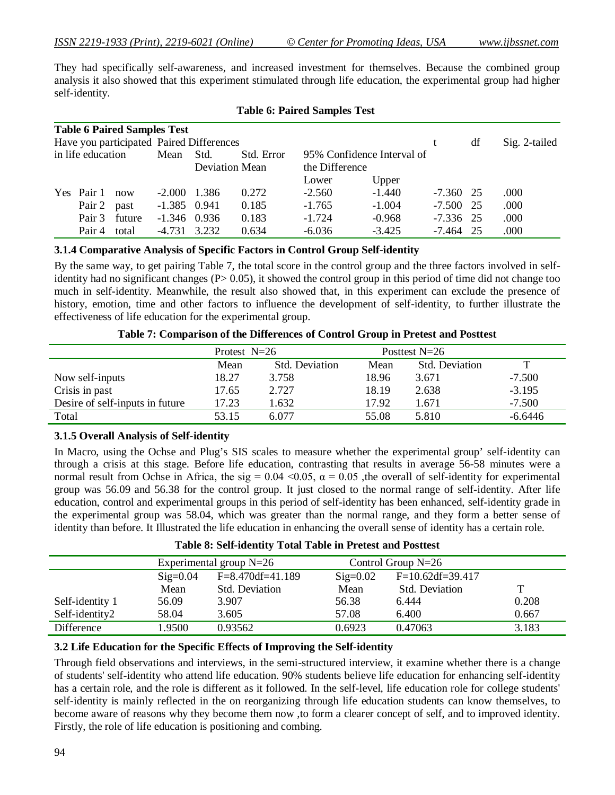They had specifically self-awareness, and increased investment for themselves. Because the combined group analysis it also showed that this experiment stimulated through life education, the experimental group had higher self-identity.

| <b>Table 6 Paired Samples Test</b><br>Have you participated Paired Differences |            |        |                |       |                |                |          |             | df | Sig. 2-tailed |
|--------------------------------------------------------------------------------|------------|--------|----------------|-------|----------------|----------------|----------|-------------|----|---------------|
| in life education<br>Mean<br>Std. Error<br>95% Confidence Interval of<br>Std.  |            |        |                |       |                |                |          |             |    |               |
|                                                                                |            |        |                |       | Deviation Mean | the Difference |          |             |    |               |
|                                                                                |            |        |                |       |                | Lower          | Upper    |             |    |               |
|                                                                                | Yes Pair 1 | now    | $-2.000$       | 1.386 | 0.272          | $-2.560$       | $-1.440$ | $-7.360$ 25 |    | .000          |
|                                                                                | Pair 2     | past   | $-1.385$ 0.941 |       | 0.185          | $-1.765$       | $-1.004$ | $-7.500$ 25 |    | .000          |
|                                                                                | Pair 3     | future | $-1.346$ 0.936 |       | 0.183          | $-1.724$       | $-0.968$ | $-7.336$ 25 |    | .000          |
|                                                                                | Pair 4     | total  | $-4.731$       | 3.232 | 0.634          | $-6.036$       | $-3.425$ | $-7.464$ 25 |    | .000          |

#### **Table 6: Paired Samples Test**

#### **3.1.4 Comparative Analysis of Specific Factors in Control Group Self-identity**

By the same way, to get pairing Table 7, the total score in the control group and the three factors involved in selfidentity had no significant changes (P> 0.05), it showed the control group in this period of time did not change too much in self-identity. Meanwhile, the result also showed that, in this experiment can exclude the presence of history, emotion, time and other factors to influence the development of self-identity, to further illustrate the effectiveness of life education for the experimental group.

|  | Table 7: Comparison of the Differences of Control Group in Pretest and Posttest |
|--|---------------------------------------------------------------------------------|
|--|---------------------------------------------------------------------------------|

|                                 | Protest $N=26$ |                       | Posttest $N=26$ |                |           |
|---------------------------------|----------------|-----------------------|-----------------|----------------|-----------|
|                                 | Mean           | <b>Std.</b> Deviation | Mean            | Std. Deviation | т         |
| Now self-inputs                 | 18.27          | 3.758                 | 18.96           | 3.671          | $-7.500$  |
| Crisis in past                  | 17.65          | 2.727                 | 18.19           | 2.638          | $-3.195$  |
| Desire of self-inputs in future | 17.23          | 1.632                 | 17.92           | 1.671          | $-7.500$  |
| Total                           | 53.15          | 6.077                 | 55.08           | 5.810          | $-6.6446$ |

## **3.1.5 Overall Analysis of Self-identity**

In Macro, using the Ochse and Plug's SIS scales to measure whether the experimental group' self-identity can through a crisis at this stage. Before life education, contrasting that results in average 56-58 minutes were a normal result from Ochse in Africa, the sig =  $0.04 \le 0.05$ ,  $\alpha = 0.05$ , the overall of self-identity for experimental group was 56.09 and 56.38 for the control group. It just closed to the normal range of self-identity. After life education, control and experimental groups in this period of self-identity has been enhanced, self-identity grade in the experimental group was 58.04, which was greater than the normal range, and they form a better sense of identity than before. It Illustrated the life education in enhancing the overall sense of identity has a certain role.

| Table 8: Self-identity Total Table in Pretest and Posttest |
|------------------------------------------------------------|
|------------------------------------------------------------|

|                 | Experimental group $N=26$ |                         | Control Group $N=26$ |                       |       |
|-----------------|---------------------------|-------------------------|----------------------|-----------------------|-------|
|                 | $\text{Sig}=0.04$         | $F = 8.470 df = 41.189$ | $Sig=0.02$           | $F=10.62df=39.417$    |       |
|                 | Mean                      | Std. Deviation          | Mean                 | <b>Std.</b> Deviation | т     |
| Self-identity 1 | 56.09                     | 3.907                   | 56.38                | 6.444                 | 0.208 |
| Self-identity2  | 58.04                     | 3.605                   | 57.08                | 6.400                 | 0.667 |
| Difference      | l.9500                    | 0.93562                 | 0.6923               | 0.47063               | 3.183 |

#### **3.2 Life Education for the Specific Effects of Improving the Self-identity**

Through field observations and interviews, in the semi-structured interview, it examine whether there is a change of students' self-identity who attend life education. 90% students believe life education for enhancing self-identity has a certain role, and the role is different as it followed. In the self-level, life education role for college students' self-identity is mainly reflected in the on reorganizing through life education students can know themselves, to become aware of reasons why they become them now ,to form a clearer concept of self, and to improved identity. Firstly, the role of life education is positioning and combing.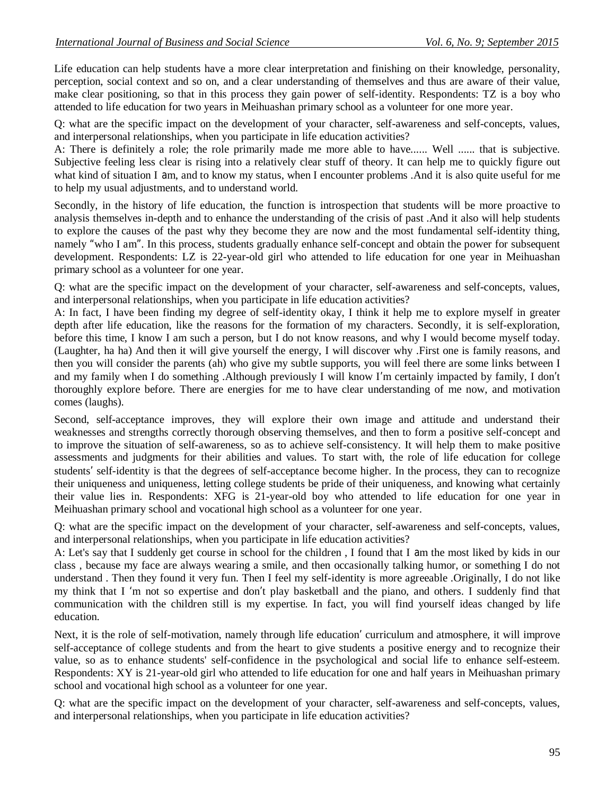Life education can help students have a more clear interpretation and finishing on their knowledge, personality, perception, social context and so on, and a clear understanding of themselves and thus are aware of their value, make clear positioning, so that in this process they gain power of self-identity. Respondents: TZ is a boy who attended to life education for two years in Meihuashan primary school as a volunteer for one more year.

Q: what are the specific impact on the development of your character, self-awareness and self-concepts, values, and interpersonal relationships, when you participate in life education activities?

A: There is definitely a role; the role primarily made me more able to have...... Well ...... that is subjective. Subjective feeling less clear is rising into a relatively clear stuff of theory. It can help me to quickly figure out what kind of situation I am, and to know my status, when I encounter problems .And it is also quite useful for me to help my usual adjustments, and to understand world.

Secondly, in the history of life education, the function is introspection that students will be more proactive to analysis themselves in-depth and to enhance the understanding of the crisis of past .And it also will help students to explore the causes of the past why they become they are now and the most fundamental self-identity thing, namely "who I am". In this process, students gradually enhance self-concept and obtain the power for subsequent development. Respondents: LZ is 22-year-old girl who attended to life education for one year in Meihuashan primary school as a volunteer for one year.

Q: what are the specific impact on the development of your character, self-awareness and self-concepts, values, and interpersonal relationships, when you participate in life education activities?

A: In fact, I have been finding my degree of self-identity okay, I think it help me to explore myself in greater depth after life education, like the reasons for the formation of my characters. Secondly, it is self-exploration, before this time, I know I am such a person, but I do not know reasons, and why I would become myself today. (Laughter, ha ha) And then it will give yourself the energy, I will discover why .First one is family reasons, and then you will consider the parents (ah) who give my subtle supports, you will feel there are some links between I and my family when I do something .Although previously I will know I'm certainly impacted by family, I don't thoroughly explore before. There are energies for me to have clear understanding of me now, and motivation comes (laughs).

Second, self-acceptance improves, they will explore their own image and attitude and understand their weaknesses and strengths correctly thorough observing themselves, and then to form a positive self-concept and to improve the situation of self-awareness, so as to achieve self-consistency. It will help them to make positive assessments and judgments for their abilities and values. To start with, the role of life education for college students' self-identity is that the degrees of self-acceptance become higher. In the process, they can to recognize their uniqueness and uniqueness, letting college students be pride of their uniqueness, and knowing what certainly their value lies in. Respondents: XFG is 21-year-old boy who attended to life education for one year in Meihuashan primary school and vocational high school as a volunteer for one year.

Q: what are the specific impact on the development of your character, self-awareness and self-concepts, values, and interpersonal relationships, when you participate in life education activities?

A: Let's say that I suddenly get course in school for the children , I found that I am the most liked by kids in our class , because my face are always wearing a smile, and then occasionally talking humor, or something I do not understand . Then they found it very fun. Then I feel my self-identity is more agreeable .Originally, I do not like my think that I 'm not so expertise and don't play basketball and the piano, and others. I suddenly find that communication with the children still is my expertise. In fact, you will find yourself ideas changed by life education.

Next, it is the role of self-motivation, namely through life education' curriculum and atmosphere, it will improve self-acceptance of college students and from the heart to give students a positive energy and to recognize their value, so as to enhance students' self-confidence in the psychological and social life to enhance self-esteem. Respondents: XY is 21-year-old girl who attended to life education for one and half years in Meihuashan primary school and vocational high school as a volunteer for one year.

Q: what are the specific impact on the development of your character, self-awareness and self-concepts, values, and interpersonal relationships, when you participate in life education activities?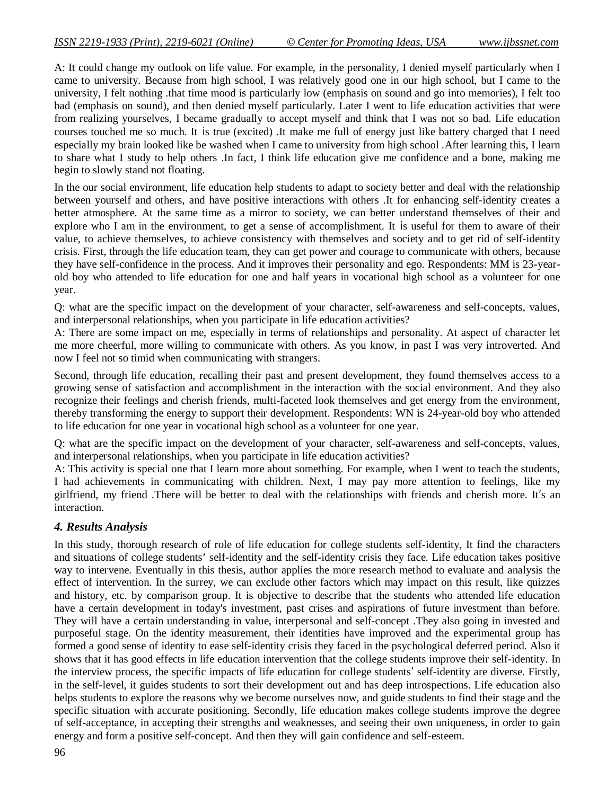A: It could change my outlook on life value. For example, in the personality, I denied myself particularly when I came to university. Because from high school, I was relatively good one in our high school, but I came to the university, I felt nothing .that time mood is particularly low (emphasis on sound and go into memories), I felt too bad (emphasis on sound), and then denied myself particularly. Later I went to life education activities that were from realizing yourselves, I became gradually to accept myself and think that I was not so bad. Life education courses touched me so much. It is true (excited) .It make me full of energy just like battery charged that I need especially my brain looked like be washed when I came to university from high school .After learning this, I learn to share what I study to help others .In fact, I think life education give me confidence and a bone, making me begin to slowly stand not floating.

In the our social environment, life education help students to adapt to society better and deal with the relationship between yourself and others, and have positive interactions with others .It for enhancing self-identity creates a better atmosphere. At the same time as a mirror to society, we can better understand themselves of their and explore who I am in the environment, to get a sense of accomplishment. It is useful for them to aware of their value, to achieve themselves, to achieve consistency with themselves and society and to get rid of self-identity crisis. First, through the life education team, they can get power and courage to communicate with others, because they have self-confidence in the process. And it improves their personality and ego. Respondents: MM is 23-yearold boy who attended to life education for one and half years in vocational high school as a volunteer for one year.

Q: what are the specific impact on the development of your character, self-awareness and self-concepts, values, and interpersonal relationships, when you participate in life education activities?

A: There are some impact on me, especially in terms of relationships and personality. At aspect of character let me more cheerful, more willing to communicate with others. As you know, in past I was very introverted. And now I feel not so timid when communicating with strangers.

Second, through life education, recalling their past and present development, they found themselves access to a growing sense of satisfaction and accomplishment in the interaction with the social environment. And they also recognize their feelings and cherish friends, multi-faceted look themselves and get energy from the environment, thereby transforming the energy to support their development. Respondents: WN is 24-year-old boy who attended to life education for one year in vocational high school as a volunteer for one year.

Q: what are the specific impact on the development of your character, self-awareness and self-concepts, values, and interpersonal relationships, when you participate in life education activities?

A: This activity is special one that I learn more about something. For example, when I went to teach the students, I had achievements in communicating with children. Next, I may pay more attention to feelings, like my girlfriend, my friend .There will be better to deal with the relationships with friends and cherish more. It's an interaction.

# *4. Results Analysis*

In this study, thorough research of role of life education for college students self-identity, It find the characters and situations of college students' self-identity and the self-identity crisis they face. Life education takes positive way to intervene. Eventually in this thesis, author applies the more research method to evaluate and analysis the effect of intervention. In the surrey, we can exclude other factors which may impact on this result, like quizzes and history, etc. by comparison group. It is objective to describe that the students who attended life education have a certain development in today's investment, past crises and aspirations of future investment than before. They will have a certain understanding in value, interpersonal and self-concept .They also going in invested and purposeful stage. On the identity measurement, their identities have improved and the experimental group has formed a good sense of identity to ease self-identity crisis they faced in the psychological deferred period. Also it shows that it has good effects in life education intervention that the college students improve their self-identity. In the interview process, the specific impacts of life education for college students' self-identity are diverse. Firstly, in the self-level, it guides students to sort their development out and has deep introspections. Life education also helps students to explore the reasons why we become ourselves now, and guide students to find their stage and the specific situation with accurate positioning. Secondly, life education makes college students improve the degree of self-acceptance, in accepting their strengths and weaknesses, and seeing their own uniqueness, in order to gain energy and form a positive self-concept. And then they will gain confidence and self-esteem.